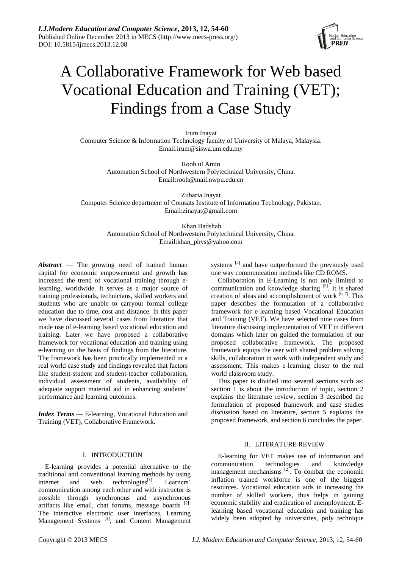

# A Collaborative Framework for Web based Vocational Education and Training (VET); Findings from a Case Study

Irum Inayat Computer Science & Information Technology faculty of University of Malaya, Malaysia. Email:irum@siswa.um.edu.my

> Rooh ul Amin Automation School of Northwestern Polytechnical University, China. Email:rooh@mail.nwpu.edu.cn

Zubaria Inayat Computer Science department of Comsats Institute of Information Technology, Pakistan*.* Email:zinayat@gmail.com

> Khan Badshah Automation School of Northwestern Polytechnical University, China*.* Email:khan\_phys@yahoo.com

*Abstract* — The growing need of trained human capital for economic empowerment and growth has increased the trend of vocational training through elearning, worldwide. It serves as a major source of training professionals, technicians, skilled workers and students who are unable to carryout formal college education due to time, cost and distance. In this paper we have discussed several cases from literature that made use of e-learning based vocational education and training. Later we have proposed a collaborative framework for vocational education and training using e-learning on the basis of findings from the literature. The framework has been practically implemented in a real world case study and findings revealed that factors like student-student and student-teacher collaboration, individual assessment of students, availability of adequate support material aid in enhancing students' performance and learning outcomes.

*Index Terms* — E-learning, Vocational Education and Training (VET), Collaborative Framework.

#### I. INTRODUCTION

E-learning provides a potential alternative to the traditional and conventional learning methods by using internet and web technologies $[1]$ . . Learners' communication among each other and with instructor is possible through synchronous and asynchronous artifacts like email, chat forums, message boards  $[2]$ . The interactive electronic user interfaces, Learning Management Systems <sup>[3]</sup>, and Content Management systems <sup>[4]</sup> and have outperformed the previously used one way communication methods like CD ROMS.

Collaboration in E-Learning is not only limited to communication and knowledge sharing  $[5]$ . It is shared creation of ideas and accomplishment of work  $[6, 7]$ . This paper describes the formulation of a collaborative framework for e-learning based Vocational Education and Training (VET). We have selected nine cases from literature discussing implementation of VET in different domains which later on guided the formulation of our proposed collaborative framework. The proposed framework equips the user with shared problem solving skills, collaboration in work with independent study and assessment. This makes e-learning closer to the real world classroom study.

This paper is divided into several sections such as: section 1 is about the introduction of topic, section 2 explains the literature review, section 3 described the formulation of proposed framework and case studies discussion based on literature, section 5 explains the proposed framework, and section 6 concludes the paper.

#### II. LITERATURE REVIEW

E-learning for VET makes use of information and communication technologies and knowledge management mechanisms  $^{[2]}$ . To combat the economic inflation trained workforce is one of the biggest resources. Vocational education aids in increasing the number of skilled workers, thus helps in gaining economic stability and eradication of unemployment. Elearning based vocational education and training has widely been adopted by universities, poly technique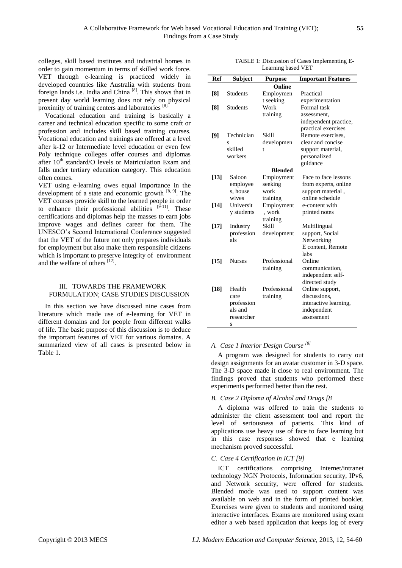colleges, skill based institutes and industrial homes in order to gain momentum in terms of skilled work force. VET through e-learning is practiced widely in developed countries like Australia with students from foreign lands i.e. India and China<sup>[8]</sup>. This shows that in present day world learning does not rely on physical proximity of training centers and laboratories [9].

Vocational education and training is basically a career and technical education specific to some craft or profession and includes skill based training courses. Vocational education and trainings are offered at a level after k-12 or Intermediate level education or even few Poly technique colleges offer courses and diplomas after  $10^{th}$  standard/O levels or Matriculation Exam and falls under tertiary education category. This education often comes.

VET using e-learning owes equal importance in the development of a state and economic growth  $[8, 9]$ . The VET courses provide skill to the learned people in order to enhance their professional abilities  $[9-11]$ . These certifications and diplomas help the masses to earn jobs improve wages and defines career for them. The UNESCO's Second International Conference suggested that the VET of the future not only prepares individuals for employment but also make them responsible citizens which is important to preserve integrity of environment and the welfare of others [12].

## III. TOWARDS THE FRAMEWORK FORMULATION; CASE STUDIES DISCUSSION

In this section we have discussed nine cases from literature which made use of e-learning for VET in different domains and for people from different walks of life. The basic purpose of this discussion is to deduce the important features of VET for various domains. A summarized view of all cases is presented below in Table 1.

TABLE 1: Discussion of Cases Implementing E-Learning based VET

| <b>Ref</b>     | Subject           | <b>Purpose</b> | <b>Important Features</b>       |  |  |  |  |  |  |
|----------------|-------------------|----------------|---------------------------------|--|--|--|--|--|--|
| Online         |                   |                |                                 |  |  |  |  |  |  |
| [8]            | <b>Students</b>   | Employmen      | Practical                       |  |  |  |  |  |  |
|                |                   | t seeking      | experimentation                 |  |  |  |  |  |  |
| [8]            | <b>Students</b>   | Work           | Formal task                     |  |  |  |  |  |  |
|                |                   | training       | assessment,                     |  |  |  |  |  |  |
|                |                   |                | independent practice,           |  |  |  |  |  |  |
|                |                   |                | practical exercises             |  |  |  |  |  |  |
| [9]            | Technician        | Skill          | Remote exercises,               |  |  |  |  |  |  |
|                | S                 | developmen     | clear and concise               |  |  |  |  |  |  |
|                | skilled           | t              | support material,               |  |  |  |  |  |  |
|                | workers           |                | personalized                    |  |  |  |  |  |  |
|                |                   | guidance       |                                 |  |  |  |  |  |  |
| <b>Blended</b> |                   |                |                                 |  |  |  |  |  |  |
| [13]           | Saloon            | Employment     | Face to face lessons            |  |  |  |  |  |  |
|                | employee          | seeking        | from experts, online            |  |  |  |  |  |  |
|                | s, house          | work           | support material,               |  |  |  |  |  |  |
|                | wives             | training       | online schedule                 |  |  |  |  |  |  |
| $[14]$         | Universit         | Employment     | e-content with                  |  |  |  |  |  |  |
|                | y students        | , work         | printed notes                   |  |  |  |  |  |  |
|                |                   | training       |                                 |  |  |  |  |  |  |
| [17]           | Industry          | Skill          | Multilingual                    |  |  |  |  |  |  |
|                | profession<br>als | development    | support, Social                 |  |  |  |  |  |  |
|                |                   |                | Networking<br>E content, Remote |  |  |  |  |  |  |
|                |                   |                | labs                            |  |  |  |  |  |  |
| $[15]$         | <b>Nurses</b>     | Professional   | Online                          |  |  |  |  |  |  |
|                |                   | training       | communication.                  |  |  |  |  |  |  |
|                |                   |                | independent self-               |  |  |  |  |  |  |
|                |                   |                | directed study                  |  |  |  |  |  |  |
| $[18]$         | Health            | Professional   | Online support,                 |  |  |  |  |  |  |
|                | care              | training       | discussions,                    |  |  |  |  |  |  |
|                | profession        |                | interactive learning,           |  |  |  |  |  |  |
|                | als and           |                | independent                     |  |  |  |  |  |  |
|                | researcher        |                | assessment                      |  |  |  |  |  |  |
|                | S                 |                |                                 |  |  |  |  |  |  |

## *A. Case 1 Interior Design Course [8]*

A program was designed for students to carry out design assignments for an avatar customer in 3-D space. The 3-D space made it close to real environment. The findings proved that students who performed these experiments performed better than the rest.

#### *B. Case 2 Diploma of Alcohol and Drugs [8*

A diploma was offered to train the students to administer the client assessment tool and report the level of seriousness of patients. This kind of applications use heavy use of face to face learning but in this case responses showed that e learning mechanism proved successful.

## *C. Case 4 Certification in ICT [9]*

ICT certifications comprising Internet/intranet technology NGN Protocols, Information security, IPv6, and Network security, were offered for students. Blended mode was used to support content was available on web and in the form of printed booklet. Exercises were given to students and monitored using interactive interfaces. Exams are monitored using exam editor a web based application that keeps log of every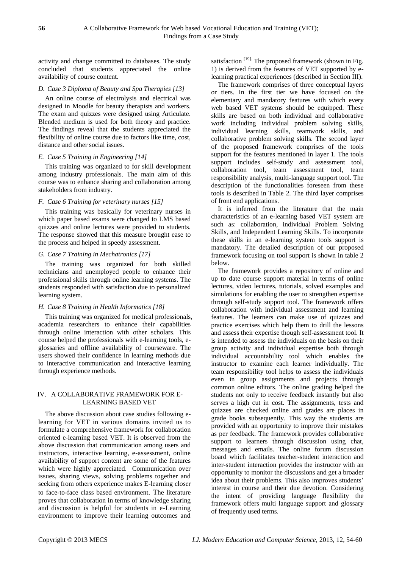activity and change committed to databases. The study concluded that students appreciated the online availability of course content.

## *D. Case 3 Diploma of Beauty and Spa Therapies [13]*

An online course of electrolysis and electrical was designed in Moodle for beauty therapists and workers. The exam and quizzes were designed using Articulate. Blended medium is used for both theory and practice. The findings reveal that the students appreciated the flexibility of online course due to factors like time, cost, distance and other social issues.

## *E. Case 5 Training in Engineering [14]*

This training was organized to for skill development among industry professionals. The main aim of this course was to enhance sharing and collaboration among stakeholders from industry.

## *F. Case 6 Training for veterinary nurses [15]*

This training was basically for veterinary nurses in which paper based exams were changed to LMS based quizzes and online lectures were provided to students. The response showed that this measure brought ease to the process and helped in speedy assessment.

## *G. Case 7 Training in Mechatronics [17]*

The training was organized for both skilled technicians and unemployed people to enhance their professional skills through online learning systems. The students responded with satisfaction due to personalized learning system.

## *H. Case 8 Training in Health Informatics [18]*

This training was organized for medical professionals, academia researchers to enhance their capabilities through online interaction with other scholars. This course helped the professionals with e-learning tools, eglossaries and offline availability of courseware. The users showed their confidence in learning methods due to interactive communication and interactive learning through experience methods.

#### IV. A COLLABORATIVE FRAMEWORK FOR E-LEARNING BASED VET

The above discussion about case studies following elearning for VET in various domains invited us to formulate a comprehensive framework for collaboration oriented e-learning based VET. It is observed from the above discussion that communication among users and instructors, interactive learning, e-assessment, online availability of support content are some of the features which were highly appreciated. Communication over issues, sharing views, solving problems together and seeking from others experience makes E-learning closer to face-to-face class based environment. The literature proves that collaboration in terms of knowledge sharing and discussion is helpful for students in e-Learning environment to improve their learning outcomes and

satisfaction  $[19]$ . The proposed framework (shown in Fig. 1) is derived from the features of VET supported by elearning practical experiences (described in Section III).

The framework comprises of three conceptual layers or tiers. In the first tier we have focused on the elementary and mandatory features with which every web based VET systems should be equipped. These skills are based on both individual and collaborative work including individual problem solving skills, individual learning skills, teamwork skills, and collaborative problem solving skills. The second layer of the proposed framework comprises of the tools support for the features mentioned in layer 1. The tools support includes self-study and assessment tool, collaboration tool, team assessment tool, team responsibility analysis, multi-language support tool. The description of the functionalities foreseen from these tools is described in Table 2. The third layer comprises of front end applications.

It is inferred from the literature that the main characteristics of an e-learning based VET system are such as: collaboration, individual Problem Solving Skills, and Independent Learning Skills. To incorporate these skills in an e-learning system tools support is mandatory. The detailed description of our proposed framework focusing on tool support is shown in table 2 below.

The framework provides a repository of online and up to date course support material in terms of online lectures, video lectures, tutorials, solved examples and simulations for enabling the user to strengthen expertise through self-study support tool. The framework offers collaboration with individual assessment and learning features. The learners can make use of quizzes and practice exercises which help them to drill the lessons and assess their expertise though self-assessment tool. It is intended to assess the individuals on the basis on their group activity and individual expertise both through individual accountability tool which enables the instructor to examine each learner individually. The team responsibility tool helps to assess the individuals even in group assignments and projects through common online editors. The online grading helped the students not only to receive feedback instantly but also serves a high cut in cost. The assignments, tests and quizzes are checked online and grades are places in grade books subsequently. This way the students are provided with an opportunity to improve their mistakes as per feedback. The framework provides collaborative support to learners through discussion using chat, messages and emails. The online forum discussion board which facilitates teacher-student interaction and inter-student interaction provides the instructor with an opportunity to monitor the discussions and get a broader idea about their problems. This also improves students' interest in course and their due devotion. Considering the intent of providing language flexibility the framework offers multi language support and glossary of frequently used terms.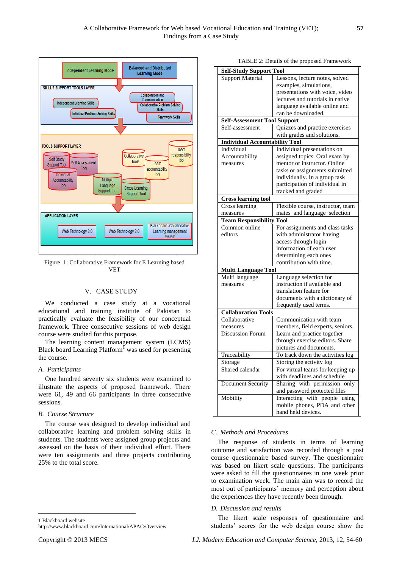

Figure. 1: Collaborative Framework for E Learning based VET

## V. CASE STUDY

We conducted a case study at a vocational educational and training institute of Pakistan to practically evaluate the feasibility of our conceptual framework. Three consecutive sessions of web design course were studied for this purpose.

The learning content management system (LCMS) Black board Learning  $Platform<sup>1</sup>$  was used for presenting the course.

## *A. Participants*

One hundred seventy six students were examined to illustrate the aspects of proposed framework. There were 61, 49 and 66 participants in three consecutive sessions.

## *B. Course Structure*

The course was designed to develop individual and collaborative learning and problem solving skills in students. The students were assigned group projects and assessed on the basis of their individual effort. There were ten assignments and three projects contributing 25% to the total score.

| <b>Self-Study Support Tool</b>        |                                                        |  |  |  |  |
|---------------------------------------|--------------------------------------------------------|--|--|--|--|
| <b>Support Material</b>               | Lessons, lecture notes, solved                         |  |  |  |  |
|                                       | examples, simulations,                                 |  |  |  |  |
|                                       | presentations with voice, video                        |  |  |  |  |
|                                       | lectures and tutorials in native                       |  |  |  |  |
|                                       | language available online and                          |  |  |  |  |
|                                       | can be downloaded.                                     |  |  |  |  |
| <b>Self-Assessment Tool Support</b>   |                                                        |  |  |  |  |
| Self-assessment                       | Quizzes and practice exercises                         |  |  |  |  |
|                                       | with grades and solutions.                             |  |  |  |  |
| <b>Individual Accountability Tool</b> |                                                        |  |  |  |  |
| Individual                            | Individual presentations on                            |  |  |  |  |
| Accountability                        | assigned topics. Oral exam by                          |  |  |  |  |
| measures                              | mentor or instructor. Online                           |  |  |  |  |
|                                       | tasks or assignments submitted                         |  |  |  |  |
|                                       | individually. In a group task                          |  |  |  |  |
|                                       | participation of individual in                         |  |  |  |  |
|                                       | tracked and graded                                     |  |  |  |  |
| <b>Cross learning tool</b>            |                                                        |  |  |  |  |
| Cross learning                        | Flexible course, instructor, team                      |  |  |  |  |
| measures                              | mates and language selection                           |  |  |  |  |
| <b>Team Responsibility Tool</b>       |                                                        |  |  |  |  |
| Common online                         | For assignments and class tasks                        |  |  |  |  |
| editors                               | with administrator having                              |  |  |  |  |
|                                       | access through login                                   |  |  |  |  |
|                                       | information of each user                               |  |  |  |  |
|                                       | determining each ones                                  |  |  |  |  |
|                                       | contribution with time.                                |  |  |  |  |
| <b>Multi Language Tool</b>            |                                                        |  |  |  |  |
| Multi language<br>measures            | Language selection for<br>instruction if available and |  |  |  |  |
|                                       | translation feature for                                |  |  |  |  |
|                                       | documents with a dictionary of                         |  |  |  |  |
|                                       | frequently used terms.                                 |  |  |  |  |
| <b>Collaboration Tools</b>            |                                                        |  |  |  |  |
| Collaborative                         | Communication with team                                |  |  |  |  |
| measures                              | members, field experts, seniors.                       |  |  |  |  |
| <b>Discussion Forum</b>               | Learn and practice together                            |  |  |  |  |
|                                       | through exercise editors. Share                        |  |  |  |  |
|                                       | pictures and documents.                                |  |  |  |  |
| Traceability                          | To track down the activities log                       |  |  |  |  |
| Storage                               | Storing the activity log                               |  |  |  |  |
| Shared calendar                       | For virtual teams for keeping up                       |  |  |  |  |
|                                       | with deadlines and schedule                            |  |  |  |  |
| Document Security                     | Sharing with permission<br>only                        |  |  |  |  |
|                                       | and password protected files                           |  |  |  |  |
| Mobility                              | Interacting with people using                          |  |  |  |  |
|                                       | mobile phones, PDA and other                           |  |  |  |  |
|                                       | hand held devices.                                     |  |  |  |  |

#### TABLE 2: Details of the proposed Framework

## *C. Methods and Procedures*

The response of students in terms of learning outcome and satisfaction was recorded through a post course questionnaire based survey. The questionnaire was based on likert scale questions. The participants were asked to fill the questionnaires in one week prior to examination week. The main aim was to record the most out of participants' memory and perception about the experiences they have recently been through.

#### *D. Discussion and results*

The likert scale responses of questionnaire and students' scores for the web design course show the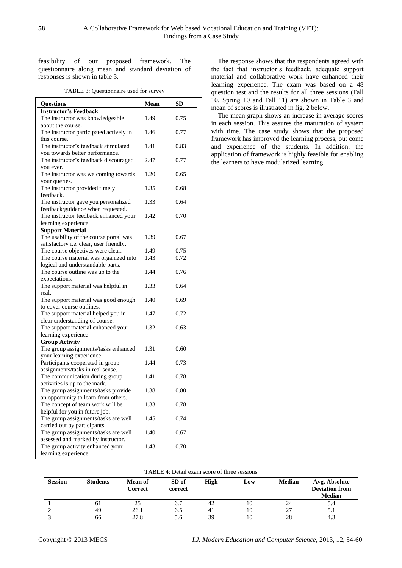feasibility of our proposed framework. The questionnaire along mean and standard deviation of responses is shown in table 3.

TABLE 3: Questionnaire used for survey

| <b>Questions</b>                                                             | Mean         | <b>SD</b> |  |  |  |  |  |
|------------------------------------------------------------------------------|--------------|-----------|--|--|--|--|--|
| <b>Instructor's Feedback</b>                                                 |              |           |  |  |  |  |  |
| The instructor was knowledgeable                                             | 1.49         | 0.75      |  |  |  |  |  |
| about the course.                                                            |              |           |  |  |  |  |  |
| The instructor participated actively in                                      | 1.46         | 0.77      |  |  |  |  |  |
| this course.                                                                 |              |           |  |  |  |  |  |
| The instructor's feedback stimulated                                         | 1.41         | 0.83      |  |  |  |  |  |
| you towards better performance.                                              |              |           |  |  |  |  |  |
| The instructor's feedback discouraged                                        | 2.47         | 0.77      |  |  |  |  |  |
| you ever.                                                                    |              |           |  |  |  |  |  |
| The instructor was welcoming towards                                         | 1.20         | 0.65      |  |  |  |  |  |
| your queries.                                                                |              |           |  |  |  |  |  |
| The instructor provided timely                                               | 1.35         | 0.68      |  |  |  |  |  |
| feedback.                                                                    |              |           |  |  |  |  |  |
|                                                                              | 1.33         | 0.64      |  |  |  |  |  |
| The instructor gave you personalized                                         |              |           |  |  |  |  |  |
| feedback/guidance when requested.<br>The instructor feedback enhanced your   | 1.42         | 0.70      |  |  |  |  |  |
|                                                                              |              |           |  |  |  |  |  |
| learning experience.                                                         |              |           |  |  |  |  |  |
| <b>Support Material</b><br>The usability of the course portal was            | 1.39         |           |  |  |  |  |  |
|                                                                              |              | 0.67      |  |  |  |  |  |
| satisfactory i.e. clear, user friendly.<br>The course objectives were clear. |              |           |  |  |  |  |  |
|                                                                              | 1.49<br>1.43 | 0.75      |  |  |  |  |  |
| The course material was organized into                                       |              | 0.72      |  |  |  |  |  |
| logical and understandable parts.<br>The course outline was up to the        |              |           |  |  |  |  |  |
|                                                                              | 1.44         | 0.76      |  |  |  |  |  |
| expectations.<br>The support material was helpful in                         | 1.33         | 0.64      |  |  |  |  |  |
| real.                                                                        |              |           |  |  |  |  |  |
| The support material was good enough                                         | 1.40         | 0.69      |  |  |  |  |  |
| to cover course outlines.                                                    |              |           |  |  |  |  |  |
| The support material helped you in                                           | 1.47         | 0.72      |  |  |  |  |  |
| clear understanding of course.                                               |              |           |  |  |  |  |  |
| The support material enhanced your                                           | 1.32         | 0.63      |  |  |  |  |  |
|                                                                              |              |           |  |  |  |  |  |
| learning experience.                                                         |              |           |  |  |  |  |  |
| <b>Group Activity</b><br>The group assignments/tasks enhanced                | 1.31         | 0.60      |  |  |  |  |  |
| your learning experience.                                                    |              |           |  |  |  |  |  |
| Participants cooperated in group                                             | 1.44         | 0.73      |  |  |  |  |  |
| assignments/tasks in real sense.                                             |              |           |  |  |  |  |  |
| The communication during group                                               | 1.41         | 0.78      |  |  |  |  |  |
| activities is up to the mark.                                                |              |           |  |  |  |  |  |
| The group assignments/tasks provide                                          | 1.38         | 0.80      |  |  |  |  |  |
| an opportunity to learn from others.                                         |              |           |  |  |  |  |  |
| The concept of team work will be                                             | 1.33         | 0.78      |  |  |  |  |  |
| helpful for you in future job.                                               |              |           |  |  |  |  |  |
| The group assignments/tasks are well                                         | 1.45         | 0.74      |  |  |  |  |  |
| carried out by participants.                                                 |              |           |  |  |  |  |  |
| The group assignments/tasks are well                                         | 1.40         | 0.67      |  |  |  |  |  |
| assessed and marked by instructor.                                           |              |           |  |  |  |  |  |
| The group activity enhanced your                                             | 1.43         | 0.70      |  |  |  |  |  |
| learning experience.                                                         |              |           |  |  |  |  |  |
|                                                                              |              |           |  |  |  |  |  |

The response shows that the respondents agreed with the fact that instructor's feedback, adequate support material and collaborative work have enhanced their learning experience. The exam was based on a 48 question test and the results for all three sessions (Fall 10, Spring 10 and Fall 11) are shown in Table 3 and mean of scores is illustrated in fig. 2 below.

The mean graph shows an increase in average scores in each session. This assures the maturation of system with time. The case study shows that the proposed framework has improved the learning process, out come and experience of the students. In addition, the application of framework is highly feasible for enabling the learners to have modularized learning.

| <b>Session</b> | <b>Students</b> | <b>Mean of</b><br>Correct | SD of<br>correct | <b>High</b> | Low | <b>Median</b> | Avg. Absolute<br><b>Deviation from</b><br><b>Median</b> |
|----------------|-----------------|---------------------------|------------------|-------------|-----|---------------|---------------------------------------------------------|
|                | 61              | 25                        | O. 1             | 42          | 10  | 24            | 5.4                                                     |
|                | 49              | 26.1                      | 6.5              | 41          | 10  | 27            | 5.1                                                     |
|                | 66              | 27.8                      | 5.6              | 39          | 10  | 28            | 4.3                                                     |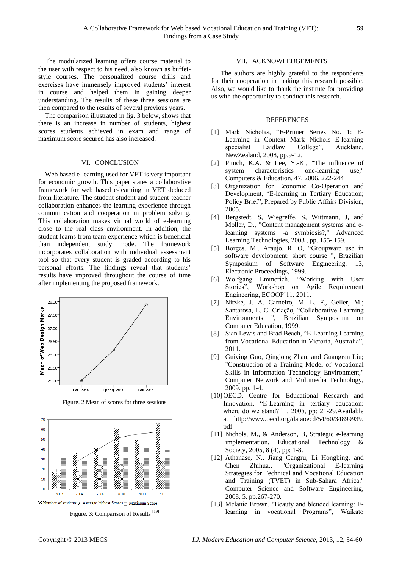The modularized learning offers course material to the user with respect to his need, also known as buffetstyle courses. The personalized course drills and exercises have immensely improved students' interest in course and helped them in gaining deeper understanding. The results of these three sessions are then compared to the results of several previous years.

The comparison illustrated in fig. 3 below, shows that there is an increase in number of students, highest scores students achieved in exam and range of maximum score secured has also increased.

#### VI. CONCLUSION

Web based e-learning used for VET is very important for economic growth. This paper states a collaborative framework for web based e-learning in VET deduced from literature. The student-student and student-teacher collaboration enhances the learning experience through communication and cooperation in problem solving. This collaboration makes virtual world of e-learning close to the real class environment. In addition, the student learns from team experience which is beneficial than independent study mode. The framework incorporates collaboration with individual assessment tool so that every student is graded according to his personal efforts. The findings reveal that students' results have improved throughout the course of time after implementing the proposed framework.



Figure. 2 Mean of scores for three sessions



Figure. 3: Comparison of Results<sup>[19]</sup>

#### VII. ACKNOWLEDGEMENTS

The authors are highly grateful to the respondents for their cooperation in making this research possible. Also, we would like to thank the institute for providing us with the opportunity to conduct this research.

#### REFERENCES

- [1] Mark Nicholas, "E-Primer Series No. 1: E-Learning in Context Mark Nichols E-learning specialist Laidlaw College", Auckland, NewZealand, 2008, pp.9-12.
- [2] Pituch, K.A. & Lee, Y.-K., "The influence of system characteristics one-learning use," Computers & Education, 47, 2006, 222-244
- [3] Organization for Economic Co-Operation and Development, "E-learning in Tertiary Education; Policy Brief", Prepared by Public Affairs Division, 2005.
- [4] Bergstedt, S, Wiegreffe, S, Wittmann, J, and Moller, D., "Content management systems and elearning systems -a symbiosis?," Advanced Learning Technologies, 2003 , pp. 155- 159.
- [5] Borges. M., Araujo, R. O. "Groupware use in software development: short course ", Brazilian Symposium of Software Engineering, 13, Electronic Proceedings, 1999.
- [6] Wolfgang Emmerich, "Working with User Stories", Workshop on Agile Requirement Engineering, ECOOP'11, 2011.
- [7] Nitzke, J. A. Carneiro, M. L. F., Geller, M.; Santarosa, L. C. Criação, "Collaborative Learning Environments ", Brazilian Symposium on Computer Education, 1999.
- [8] Sian Lewis and Brad Beach, "E-Learning Learning from Vocational Education in Victoria, Australia", 2011.
- [9] Guiying Guo, Qinglong Zhan, and Guangran Liu; "Construction of a Training Model of Vocational Skills in Information Technology Environment," Computer Network and Multimedia Technology, 2009. pp. 1-4.
- [10] OECD. Centre for Educational Research and Innovation, "E-Learning in tertiary education: where do we stand?", 2005, pp: 21-29.Available at [http://www.oecd.org/dataoecd/54/60/34899939.](http://www.oecd.org/dataoecd/54/60/34899939.pdf) [pdf](http://www.oecd.org/dataoecd/54/60/34899939.pdf)
- [11] Nichols, M., & Anderson, B, Strategic e-learning implementation. Educational Technology & Society, 2005, 8 (4), pp: 1-8.
- [12] Athanase, N., Jiang Cangru, Li Hongbing, and Chen Zhihua., "Organizational E-learning Strategies for Technical and Vocational Education and Training (TVET) in Sub-Sahara Africa," Computer Science and Software Engineering, 2008, 5, pp.267-270.
- [13] Melanie Brown, "Beauty and blended learning: Elearning in vocational Programs", Waikato